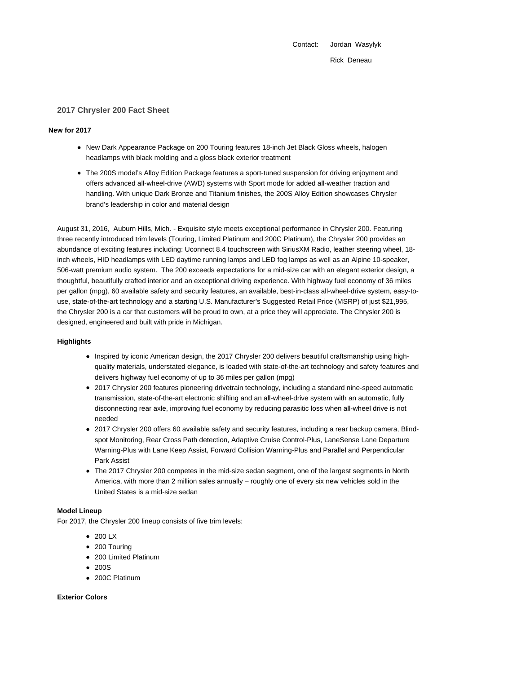Contact: Jordan Wasylyk

Rick Deneau

# **2017 Chrysler 200 Fact Sheet**

#### **New for 2017**

- New Dark Appearance Package on 200 Touring features 18-inch Jet Black Gloss wheels, halogen headlamps with black molding and a gloss black exterior treatment
- The 200S model's Alloy Edition Package features a sport-tuned suspension for driving enjoyment and offers advanced all-wheel-drive (AWD) systems with Sport mode for added all-weather traction and handling. With unique Dark Bronze and Titanium finishes, the 200S Alloy Edition showcases Chrysler brand's leadership in color and material design

August 31, 2016, Auburn Hills, Mich. - Exquisite style meets exceptional performance in Chrysler 200. Featuring three recently introduced trim levels (Touring, Limited Platinum and 200C Platinum), the Chrysler 200 provides an abundance of exciting features including: Uconnect 8.4 touchscreen with SiriusXM Radio, leather steering wheel, 18 inch wheels, HID headlamps with LED daytime running lamps and LED fog lamps as well as an Alpine 10-speaker, 506-watt premium audio system. The 200 exceeds expectations for a mid-size car with an elegant exterior design, a thoughtful, beautifully crafted interior and an exceptional driving experience. With highway fuel economy of 36 miles per gallon (mpg), 60 available safety and security features, an available, best-in-class all-wheel-drive system, easy-touse, state-of-the-art technology and a starting U.S. Manufacturer's Suggested Retail Price (MSRP) of just \$21,995, the Chrysler 200 is a car that customers will be proud to own, at a price they will appreciate. The Chrysler 200 is designed, engineered and built with pride in Michigan.

### **Highlights**

- Inspired by iconic American design, the 2017 Chrysler 200 delivers beautiful craftsmanship using highquality materials, understated elegance, is loaded with state-of-the-art technology and safety features and delivers highway fuel economy of up to 36 miles per gallon (mpg)
- 2017 Chrysler 200 features pioneering drivetrain technology, including a standard nine-speed automatic transmission, state-of-the-art electronic shifting and an all-wheel-drive system with an automatic, fully disconnecting rear axle, improving fuel economy by reducing parasitic loss when all-wheel drive is not needed
- 2017 Chrysler 200 offers 60 available safety and security features, including a rear backup camera, Blindspot Monitoring, Rear Cross Path detection, Adaptive Cruise Control-Plus, LaneSense Lane Departure Warning-Plus with Lane Keep Assist, Forward Collision Warning-Plus and Parallel and Perpendicular Park Assist
- The 2017 Chrysler 200 competes in the mid-size sedan segment, one of the largest segments in North America, with more than 2 million sales annually – roughly one of every six new vehicles sold in the United States is a mid-size sedan

# **Model Lineup**

For 2017, the Chrysler 200 lineup consists of five trim levels:

- $\bullet$  200 LX
- 200 Touring
- 200 Limited Platinum
- $200S$
- 200C Platinum

# **Exterior Colors**